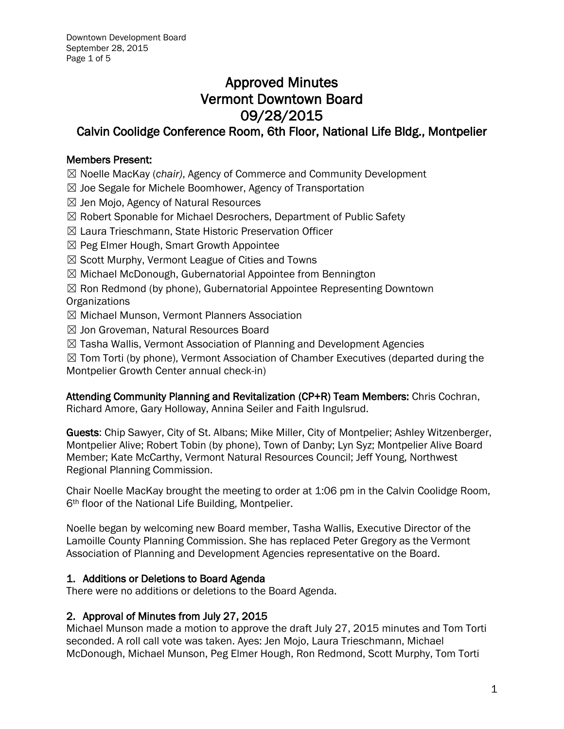# Approved Minutes Vermont Downtown Board 09/28/2015

# Calvin Coolidge Conference Room, 6th Floor, National Life Bldg., Montpelier

# Members Present:

☒ Noelle MacKay (*chair)*, Agency of Commerce and Community Development

- ☒ Joe Segale for Michele Boomhower, Agency of Transportation
- $\boxtimes$  Jen Mojo, Agency of Natural Resources
- ☒ Robert Sponable for Michael Desrochers, Department of Public Safety
- ☒ Laura Trieschmann, State Historic Preservation Officer
- ☒ Peg Elmer Hough, Smart Growth Appointee
- $\boxtimes$  Scott Murphy, Vermont League of Cities and Towns
- ☒ Michael McDonough, Gubernatorial Appointee from Bennington
- ☒ Ron Redmond (by phone), Gubernatorial Appointee Representing Downtown **Organizations**
- ☒ Michael Munson, Vermont Planners Association
- ☒ Jon Groveman, Natural Resources Board
- ☒ Tasha Wallis, Vermont Association of Planning and Development Agencies

 $\boxtimes$  Tom Torti (by phone), Vermont Association of Chamber Executives (departed during the Montpelier Growth Center annual check-in)

Attending Community Planning and Revitalization (CP+R) Team Members: Chris Cochran, Richard Amore, Gary Holloway, Annina Seiler and Faith Ingulsrud.

Guests: Chip Sawyer, City of St. Albans; Mike Miller, City of Montpelier; Ashley Witzenberger, Montpelier Alive; Robert Tobin (by phone), Town of Danby; Lyn Syz; Montpelier Alive Board Member; Kate McCarthy, Vermont Natural Resources Council; Jeff Young, Northwest Regional Planning Commission.

Chair Noelle MacKay brought the meeting to order at 1:06 pm in the Calvin Coolidge Room, 6th floor of the National Life Building, Montpelier.

Noelle began by welcoming new Board member, Tasha Wallis, Executive Director of the Lamoille County Planning Commission. She has replaced Peter Gregory as the Vermont Association of Planning and Development Agencies representative on the Board.

# 1. Additions or Deletions to Board Agenda

There were no additions or deletions to the Board Agenda.

#### 2. Approval of Minutes from July 27, 2015

Michael Munson made a motion to approve the draft July 27, 2015 minutes and Tom Torti seconded. A roll call vote was taken. Ayes: Jen Mojo, Laura Trieschmann, Michael McDonough, Michael Munson, Peg Elmer Hough, Ron Redmond, Scott Murphy, Tom Torti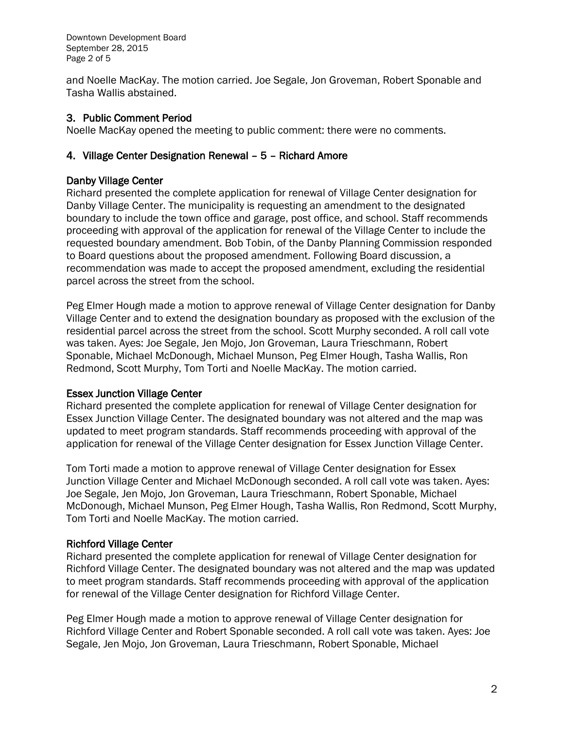Downtown Development Board September 28, 2015 Page 2 of 5

and Noelle MacKay. The motion carried. Joe Segale, Jon Groveman, Robert Sponable and Tasha Wallis abstained.

#### 3. Public Comment Period

Noelle MacKay opened the meeting to public comment: there were no comments.

#### 4. Village Center Designation Renewal – 5 – Richard Amore

#### Danby Village Center

Richard presented the complete application for renewal of Village Center designation for Danby Village Center. The municipality is requesting an amendment to the designated boundary to include the town office and garage, post office, and school. Staff recommends proceeding with approval of the application for renewal of the Village Center to include the requested boundary amendment. Bob Tobin, of the Danby Planning Commission responded to Board questions about the proposed amendment. Following Board discussion, a recommendation was made to accept the proposed amendment, excluding the residential parcel across the street from the school.

Peg Elmer Hough made a motion to approve renewal of Village Center designation for Danby Village Center and to extend the designation boundary as proposed with the exclusion of the residential parcel across the street from the school. Scott Murphy seconded. A roll call vote was taken. Ayes: Joe Segale, Jen Mojo, Jon Groveman, Laura Trieschmann, Robert Sponable, Michael McDonough, Michael Munson, Peg Elmer Hough, Tasha Wallis, Ron Redmond, Scott Murphy, Tom Torti and Noelle MacKay. The motion carried.

#### Essex Junction Village Center

Richard presented the complete application for renewal of Village Center designation for Essex Junction Village Center. The designated boundary was not altered and the map was updated to meet program standards. Staff recommends proceeding with approval of the application for renewal of the Village Center designation for Essex Junction Village Center.

Tom Torti made a motion to approve renewal of Village Center designation for Essex Junction Village Center and Michael McDonough seconded. A roll call vote was taken. Ayes: Joe Segale, Jen Mojo, Jon Groveman, Laura Trieschmann, Robert Sponable, Michael McDonough, Michael Munson, Peg Elmer Hough, Tasha Wallis, Ron Redmond, Scott Murphy, Tom Torti and Noelle MacKay. The motion carried.

#### Richford Village Center

Richard presented the complete application for renewal of Village Center designation for Richford Village Center. The designated boundary was not altered and the map was updated to meet program standards. Staff recommends proceeding with approval of the application for renewal of the Village Center designation for Richford Village Center.

Peg Elmer Hough made a motion to approve renewal of Village Center designation for Richford Village Center and Robert Sponable seconded. A roll call vote was taken. Ayes: Joe Segale, Jen Mojo, Jon Groveman, Laura Trieschmann, Robert Sponable, Michael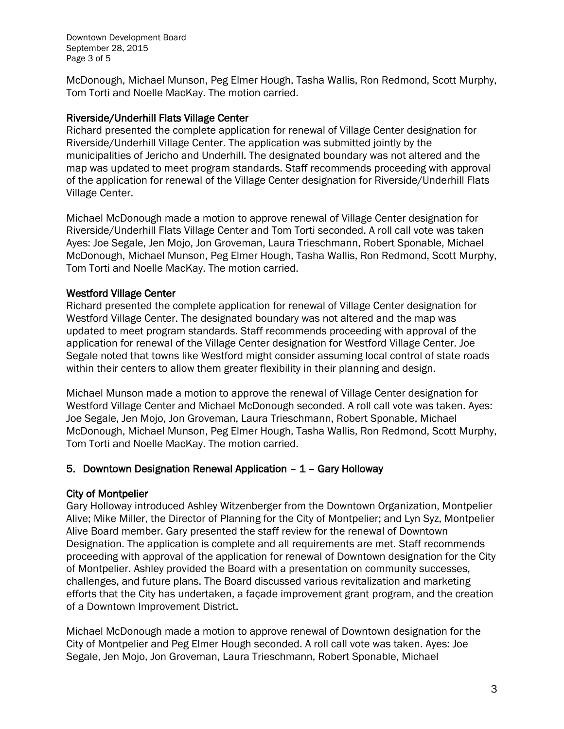Downtown Development Board September 28, 2015 Page 3 of 5

McDonough, Michael Munson, Peg Elmer Hough, Tasha Wallis, Ron Redmond, Scott Murphy, Tom Torti and Noelle MacKay. The motion carried.

#### Riverside/Underhill Flats Village Center

Richard presented the complete application for renewal of Village Center designation for Riverside/Underhill Village Center. The application was submitted jointly by the municipalities of Jericho and Underhill. The designated boundary was not altered and the map was updated to meet program standards. Staff recommends proceeding with approval of the application for renewal of the Village Center designation for Riverside/Underhill Flats Village Center.

Michael McDonough made a motion to approve renewal of Village Center designation for Riverside/Underhill Flats Village Center and Tom Torti seconded. A roll call vote was taken Ayes: Joe Segale, Jen Mojo, Jon Groveman, Laura Trieschmann, Robert Sponable, Michael McDonough, Michael Munson, Peg Elmer Hough, Tasha Wallis, Ron Redmond, Scott Murphy, Tom Torti and Noelle MacKay. The motion carried.

#### Westford Village Center

Richard presented the complete application for renewal of Village Center designation for Westford Village Center. The designated boundary was not altered and the map was updated to meet program standards. Staff recommends proceeding with approval of the application for renewal of the Village Center designation for Westford Village Center. Joe Segale noted that towns like Westford might consider assuming local control of state roads within their centers to allow them greater flexibility in their planning and design.

Michael Munson made a motion to approve the renewal of Village Center designation for Westford Village Center and Michael McDonough seconded. A roll call vote was taken. Ayes: Joe Segale, Jen Mojo, Jon Groveman, Laura Trieschmann, Robert Sponable, Michael McDonough, Michael Munson, Peg Elmer Hough, Tasha Wallis, Ron Redmond, Scott Murphy, Tom Torti and Noelle MacKay. The motion carried.

#### 5. Downtown Designation Renewal Application – 1 – Gary Holloway

#### City of Montpelier

Gary Holloway introduced Ashley Witzenberger from the Downtown Organization, Montpelier Alive; Mike Miller, the Director of Planning for the City of Montpelier; and Lyn Syz, Montpelier Alive Board member. Gary presented the staff review for the renewal of Downtown Designation. The application is complete and all requirements are met. Staff recommends proceeding with approval of the application for renewal of Downtown designation for the City of Montpelier. Ashley provided the Board with a presentation on community successes, challenges, and future plans. The Board discussed various revitalization and marketing efforts that the City has undertaken, a façade improvement grant program, and the creation of a Downtown Improvement District.

Michael McDonough made a motion to approve renewal of Downtown designation for the City of Montpelier and Peg Elmer Hough seconded. A roll call vote was taken. Ayes: Joe Segale, Jen Mojo, Jon Groveman, Laura Trieschmann, Robert Sponable, Michael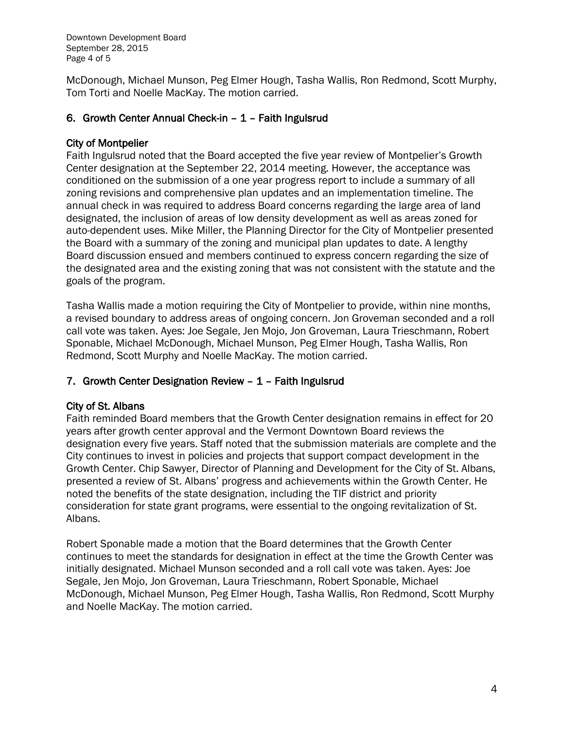Downtown Development Board September 28, 2015 Page 4 of 5

McDonough, Michael Munson, Peg Elmer Hough, Tasha Wallis, Ron Redmond, Scott Murphy, Tom Torti and Noelle MacKay. The motion carried.

### 6. Growth Center Annual Check-in – 1 – Faith Ingulsrud

#### City of Montpelier

Faith Ingulsrud noted that the Board accepted the five year review of Montpelier's Growth Center designation at the September 22, 2014 meeting. However, the acceptance was conditioned on the submission of a one year progress report to include a summary of all zoning revisions and comprehensive plan updates and an implementation timeline. The annual check in was required to address Board concerns regarding the large area of land designated, the inclusion of areas of low density development as well as areas zoned for auto-dependent uses. Mike Miller, the Planning Director for the City of Montpelier presented the Board with a summary of the zoning and municipal plan updates to date. A lengthy Board discussion ensued and members continued to express concern regarding the size of the designated area and the existing zoning that was not consistent with the statute and the goals of the program.

Tasha Wallis made a motion requiring the City of Montpelier to provide, within nine months, a revised boundary to address areas of ongoing concern. Jon Groveman seconded and a roll call vote was taken. Ayes: Joe Segale, Jen Mojo, Jon Groveman, Laura Trieschmann, Robert Sponable, Michael McDonough, Michael Munson, Peg Elmer Hough, Tasha Wallis, Ron Redmond, Scott Murphy and Noelle MacKay. The motion carried.

#### 7. Growth Center Designation Review – 1 – Faith Ingulsrud

#### City of St. Albans

Faith reminded Board members that the Growth Center designation remains in effect for 20 years after growth center approval and the Vermont Downtown Board reviews the designation every five years. Staff noted that the submission materials are complete and the City continues to invest in policies and projects that support compact development in the Growth Center. Chip Sawyer, Director of Planning and Development for the City of St. Albans, presented a review of St. Albans' progress and achievements within the Growth Center. He noted the benefits of the state designation, including the TIF district and priority consideration for state grant programs, were essential to the ongoing revitalization of St. Albans.

Robert Sponable made a motion that the Board determines that the Growth Center continues to meet the standards for designation in effect at the time the Growth Center was initially designated. Michael Munson seconded and a roll call vote was taken. Ayes: Joe Segale, Jen Mojo, Jon Groveman, Laura Trieschmann, Robert Sponable, Michael McDonough, Michael Munson, Peg Elmer Hough, Tasha Wallis, Ron Redmond, Scott Murphy and Noelle MacKay. The motion carried.